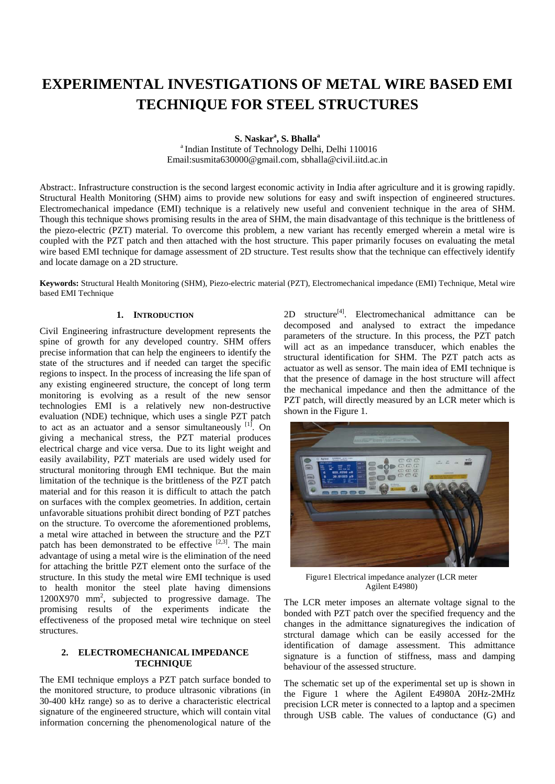# **EXPERIMENTAL INVESTIGATIONS OF METAL WIRE BASED EMI TECHNIQUE FOR STEEL STRUCTURES**

**S. Naskara , S. Bhalla<sup>a</sup>**

<sup>a</sup> Indian Institute of Technology Delhi, Delhi 110016 Email:susmita630000@gmail.com, sbhalla@civil.iitd.ac.in

Abstract:. Infrastructure construction is the second largest economic activity in India after agriculture and it is growing rapidly. Structural Health Monitoring (SHM) aims to provide new solutions for easy and swift inspection of engineered structures. Electromechanical impedance (EMI) technique is a relatively new useful and convenient technique in the area of SHM. Though this technique shows promising results in the area of SHM, the main disadvantage of this technique is the brittleness of the piezo-electric (PZT) material. To overcome this problem, a new variant has recently emerged wherein a metal wire is coupled with the PZT patch and then attached with the host structure. This paper primarily focuses on evaluating the metal wire based EMI technique for damage assessment of 2D structure. Test results show that the technique can effectively identify and locate damage on a 2D structure.

**Keywords:** Structural Health Monitoring (SHM), Piezo-electric material (PZT), Electromechanical impedance (EMI) Technique, Metal wire based EMI Technique

## **1. INTRODUCTION**

Civil Engineering infrastructure development represents the spine of growth for any developed country. SHM offers precise information that can help the engineers to identify the state of the structures and if needed can target the specific regions to inspect. In the process of increasing the life span of any existing engineered structure, the concept of long term monitoring is evolving as a result of the new sensor technologies EMI is a relatively new non-destructive evaluation (NDE) technique, which uses a single PZT patch to act as an actuator and a sensor simultaneously  $[1]$ . On giving a mechanical stress, the PZT material produces electrical charge and vice versa. Due to its light weight and easily availability, PZT materials are used widely used for structural monitoring through EMI technique. But the main limitation of the technique is the brittleness of the PZT patch material and for this reason it is difficult to attach the patch on surfaces with the complex geometries. In addition, certain unfavorable situations prohibit direct bonding of PZT patches on the structure. To overcome the aforementioned problems, a metal wire attached in between the structure and the PZT patch has been demonstrated to be effective  $[2,3]$ . The main advantage of using a metal wire is the elimination of the need for attaching the brittle PZT element onto the surface of the structure. In this study the metal wire EMI technique is used to health monitor the steel plate having dimensions 1200X970 mm2 , subjected to progressive damage. The promising results of the experiments indicate the effectiveness of the proposed metal wire technique on steel structures.

# **2. ELECTROMECHANICAL IMPEDANCE TECHNIQUE**

The EMI technique employs a PZT patch surface bonded to the monitored structure, to produce ultrasonic vibrations (in 30-400 kHz range) so as to derive a characteristic electrical signature of the engineered structure, which will contain vital information concerning the phenomenological nature of the  $2D$  structure<sup>[4]</sup>. Electromechanical admittance can be decomposed and analysed to extract the impedance parameters of the structure. In this process, the PZT patch will act as an impedance transducer, which enables the structural identification for SHM. The PZT patch acts as actuator as well as sensor. The main idea of EMI technique is that the presence of damage in the host structure will affect the mechanical impedance and then the admittance of the PZT patch, will directly measured by an LCR meter which is shown in the Figure 1.



Figure1 Electrical impedance analyzer (LCR meter Agilent E4980)

The LCR meter imposes an alternate voltage signal to the bonded with PZT patch over the specified frequency and the changes in the admittance signaturegives the indication of strctural damage which can be easily accessed for the identification of damage assessment. This admittance signature is a function of stiffness, mass and damping behaviour of the assessed structure.

The schematic set up of the experimental set up is shown in the Figure 1 where the Agilent E4980A 20Hz-2MHz precision LCR meter is connected to a laptop and a specimen through USB cable. The values of conductance (G) and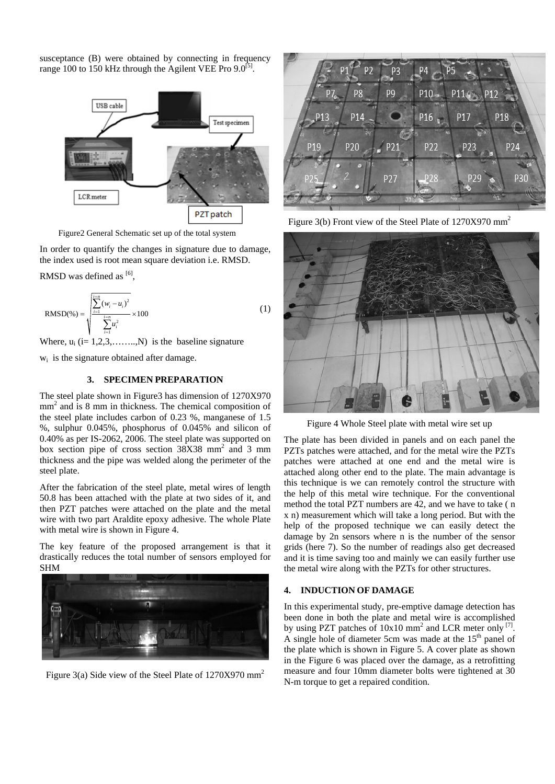susceptance (B) were obtained by connecting in frequency range 100 to 150 kHz through the Agilent VEE Pro  $9.0^{[5]}$ .



Figure2 General Schematic set up of the total system

In order to quantify the changes in signature due to damage, the index used is root mean square deviation i.e. RMSD.

RMSD was defined as  $[6]$ ,

RMSD(\*) = 
$$
\sqrt{\frac{\sum_{i=1}^{i=n} (w_i - u_i)^2}{\sum_{i=1}^{i=n} u_i^2}} \times 100
$$
 (1)

Where,  $u_i$  (i= 1,2,3,.......,N) is the baseline signature

wi is the signature obtained after damage.

# **3. SPECIMEN PREPARATION**

The steel plate shown in Figure3 has dimension of 1270X970 mm<sup>2</sup> and is 8 mm in thickness. The chemical composition of the steel plate includes carbon of 0.23 %, manganese of 1.5 %, sulphur 0.045%, phosphorus of 0.045% and silicon of 0.40% as per IS-2062, 2006. The steel plate was supported on box section pipe of cross section  $38X38$  mm<sup>2</sup> and 3 mm thickness and the pipe was welded along the perimeter of the steel plate.

After the fabrication of the steel plate, metal wires of length 50.8 has been attached with the plate at two sides of it, and then PZT patches were attached on the plate and the metal wire with two part Araldite epoxy adhesive. The whole Plate with metal wire is shown in Figure 4.

The key feature of the proposed arrangement is that it drastically reduces the total number of sensors employed for SHM



Figure 3(a) Side view of the Steel Plate of  $1270X970$  mm<sup>2</sup>



Figure 3(b) Front view of the Steel Plate of 1270X970 mm<sup>2</sup>



Figure 4 Whole Steel plate with metal wire set up

The plate has been divided in panels and on each panel the PZTs patches were attached, and for the metal wire the PZTs patches were attached at one end and the metal wire is attached along other end to the plate. The main advantage is this technique is we can remotely control the structure with the help of this metal wire technique. For the conventional method the total PZT numbers are 42, and we have to take ( n x n) measurement which will take a long period. But with the help of the proposed technique we can easily detect the damage by 2n sensors where n is the number of the sensor grids (here 7). So the number of readings also get decreased and it is time saving too and mainly we can easily further use the metal wire along with the PZTs for other structures.

### **4. INDUCTION OF DAMAGE**

In this experimental study, pre-emptive damage detection has been done in both the plate and metal wire is accomplished by using PZT patches of  $10x10$  mm<sup>2</sup> and LCR meter only <sup>[7]</sup>. A single hole of diameter 5cm was made at the  $15<sup>th</sup>$  panel of the plate which is shown in Figure 5. A cover plate as shown in the Figure 6 was placed over the damage, as a retrofitting measure and four 10mm diameter bolts were tightened at 30 N-m torque to get a repaired condition.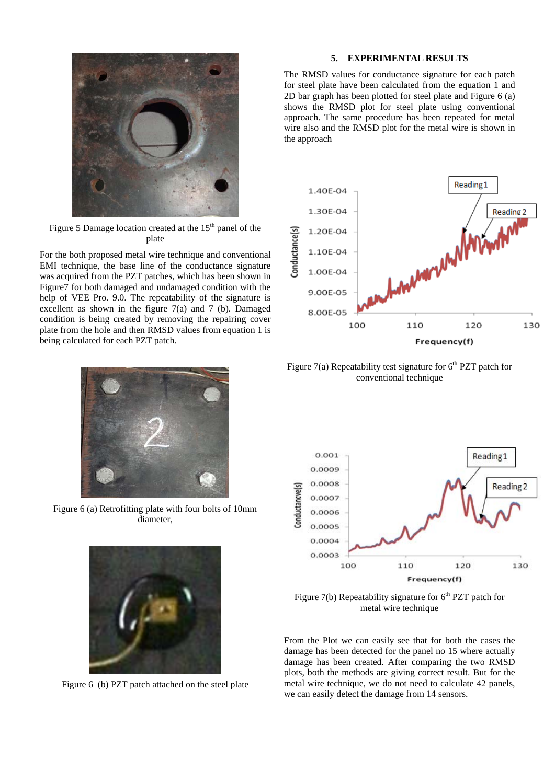

Figure 5 Damage location created at the  $15<sup>th</sup>$  panel of the plate

For the both proposed metal wire technique and conventional EMI technique, the base line of the conductance signature was acquired from the PZT patches, which has been shown in Figure7 for both damaged and undamaged condition with the help of VEE Pro. 9.0. The repeatability of the signature is excellent as shown in the figure 7(a) and 7 (b). Damaged condition is being created by removing the repairing cover plate from the hole and then RMSD values from equation 1 is being calculated for each PZT patch.



Figure 6 (a) Retrofitting plate with four bolts of 10mm diameter,



Figure 6 (b) PZT patch attached on the steel plate

## **5. EXPERIMENTAL RESULTS**

The RMSD values for conductance signature for each patch for steel plate have been calculated from the equation 1 and 2D bar graph has been plotted for steel plate and Figure 6 (a) shows the RMSD plot for steel plate using conventional approach. The same procedure has been repeated for metal wire also and the RMSD plot for the metal wire is shown in the approach



Figure 7(a) Repeatability test signature for  $6<sup>th</sup>$  PZT patch for conventional technique



Figure 7(b) Repeatability signature for  $6<sup>th</sup>$  PZT patch for metal wire technique

From the Plot we can easily see that for both the cases the damage has been detected for the panel no 15 where actually damage has been created. After comparing the two RMSD plots, both the methods are giving correct result. But for the metal wire technique, we do not need to calculate 42 panels, we can easily detect the damage from 14 sensors.